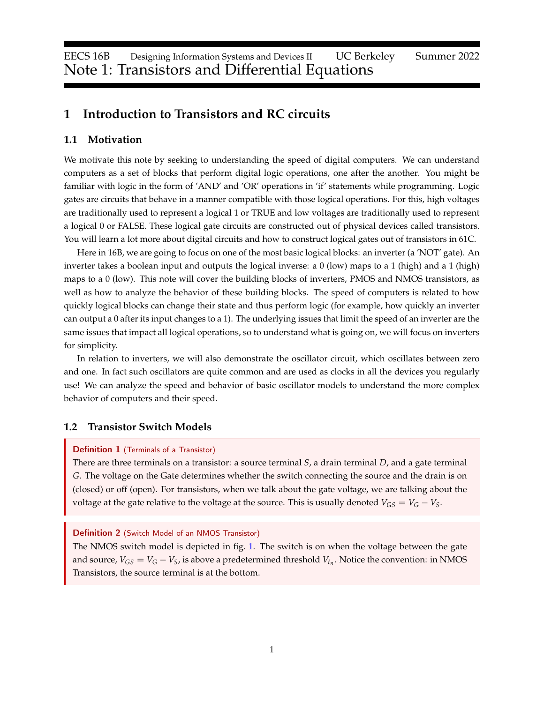# **1 Introduction to Transistors and RC circuits**

### **1.1 Motivation**

We motivate this note by seeking to understanding the speed of digital computers. We can understand computers as a set of blocks that perform digital logic operations, one after the another. You might be familiar with logic in the form of 'AND' and 'OR' operations in 'if' statements while programming. Logic gates are circuits that behave in a manner compatible with those logical operations. For this, high voltages are traditionally used to represent a logical 1 or TRUE and low voltages are traditionally used to represent a logical 0 or FALSE. These logical gate circuits are constructed out of physical devices called transistors. You will learn a lot more about digital circuits and how to construct logical gates out of transistors in 61C.

Here in 16B, we are going to focus on one of the most basic logical blocks: an inverter (a 'NOT' gate). An inverter takes a boolean input and outputs the logical inverse: a 0 (low) maps to a 1 (high) and a 1 (high) maps to a 0 (low). This note will cover the building blocks of inverters, PMOS and NMOS transistors, as well as how to analyze the behavior of these building blocks. The speed of computers is related to how quickly logical blocks can change their state and thus perform logic (for example, how quickly an inverter can output a 0 after its input changes to a 1). The underlying issues that limit the speed of an inverter are the same issues that impact all logical operations, so to understand what is going on, we will focus on inverters for simplicity.

In relation to inverters, we will also demonstrate the oscillator circuit, which oscillates between zero and one. In fact such oscillators are quite common and are used as clocks in all the devices you regularly use! We can analyze the speed and behavior of basic oscillator models to understand the more complex behavior of computers and their speed.

### **1.2 Transistor Switch Models**

## Definition 1 (Terminals of a Transistor)

There are three terminals on a transistor: a source terminal *S*, a drain terminal *D*, and a gate terminal *G*. The voltage on the Gate determines whether the switch connecting the source and the drain is on (closed) or off (open). For transistors, when we talk about the gate voltage, we are talking about the voltage at the gate relative to the voltage at the source. This is usually denoted  $V_{GS} = V_G - V_S$ .

#### Definition 2 (Switch Model of an NMOS Transistor)

The NMOS switch model is depicted in fig. [1.](#page-1-0) The switch is on when the voltage between the gate and source,  $V_{GS} = V_G - V_S$ , is above a predetermined threshold  $V_{t_n}$ . Notice the convention: in NMOS Transistors, the source terminal is at the bottom.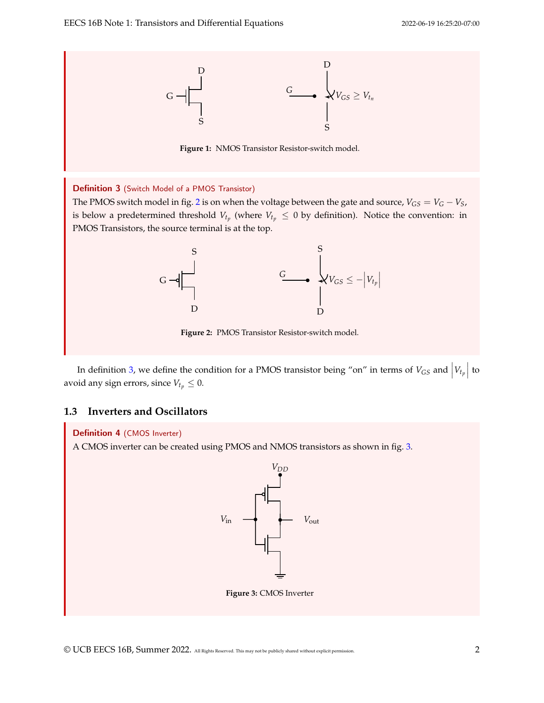<span id="page-1-0"></span>

**Figure 1:** NMOS Transistor Resistor-switch model.

#### <span id="page-1-2"></span>Definition 3 (Switch Model of a PMOS Transistor)

<span id="page-1-1"></span>The PMOS switch model in fig. [2](#page-1-1) is on when the voltage between the gate and source,  $V_{GS} = V_G - V_S$ , is below a predetermined threshold  $V_{t_p}$  (where  $V_{t_p} \leq 0$  by definition). Notice the convention: in PMOS Transistors, the source terminal is at the top.



**Figure 2:** PMOS Transistor Resistor-switch model.

In definition [3,](#page-1-2) we define the condition for a PMOS transistor being "on" in terms of  $V_{GS}$  and  $|V_{t_p}|$  to avoid any sign errors, since  $V_{t_p} \leq 0$ .

# **1.3 Inverters and Oscillators**

#### Definition 4 (CMOS Inverter)

<span id="page-1-3"></span>A CMOS inverter can be created using PMOS and NMOS transistors as shown in fig. [3.](#page-1-3)

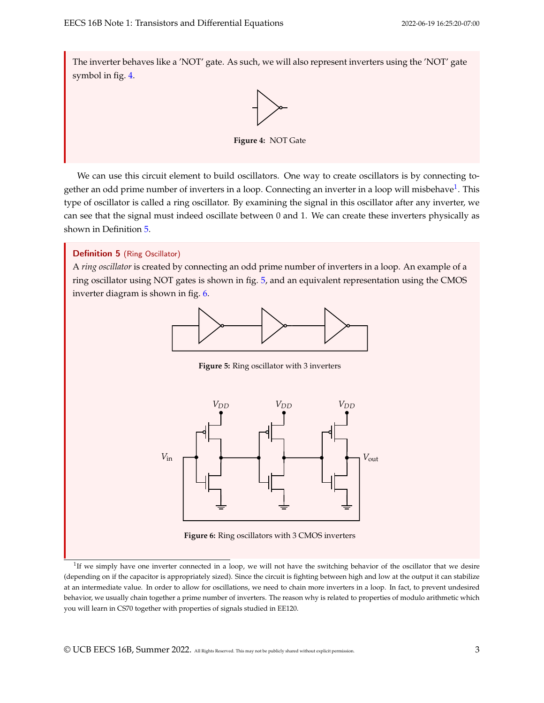<span id="page-2-0"></span>The inverter behaves like a 'NOT' gate. As such, we will also represent inverters using the 'NOT' gate symbol in fig. [4.](#page-2-0)



**Figure 4:** NOT Gate

We can use this circuit element to build oscillators. One way to create oscillators is by connecting together an odd prime number of inverters in a loop. Connecting an inverter in a loop will misbehave $^1$  $^1$ . This type of oscillator is called a ring oscillator. By examining the signal in this oscillator after any inverter, we can see that the signal must indeed oscillate between 0 and 1. We can create these inverters physically as shown in Definition [5.](#page-2-2)

# <span id="page-2-2"></span>Definition 5 (Ring Oscillator)

<span id="page-2-3"></span>A *ring oscillator* is created by connecting an odd prime number of inverters in a loop. An example of a ring oscillator using NOT gates is shown in fig. [5,](#page-2-3) and an equivalent representation using the CMOS inverter diagram is shown in fig. [6.](#page-2-4)



**Figure 5:** Ring oscillator with 3 inverters

<span id="page-2-4"></span>

**Figure 6:** Ring oscillators with 3 CMOS inverters

<span id="page-2-1"></span><sup>1</sup>If we simply have one inverter connected in a loop, we will not have the switching behavior of the oscillator that we desire (depending on if the capacitor is appropriately sized). Since the circuit is fighting between high and low at the output it can stabilize at an intermediate value. In order to allow for oscillations, we need to chain more inverters in a loop. In fact, to prevent undesired behavior, we usually chain together a prime number of inverters. The reason why is related to properties of modulo arithmetic which you will learn in CS70 together with properties of signals studied in EE120.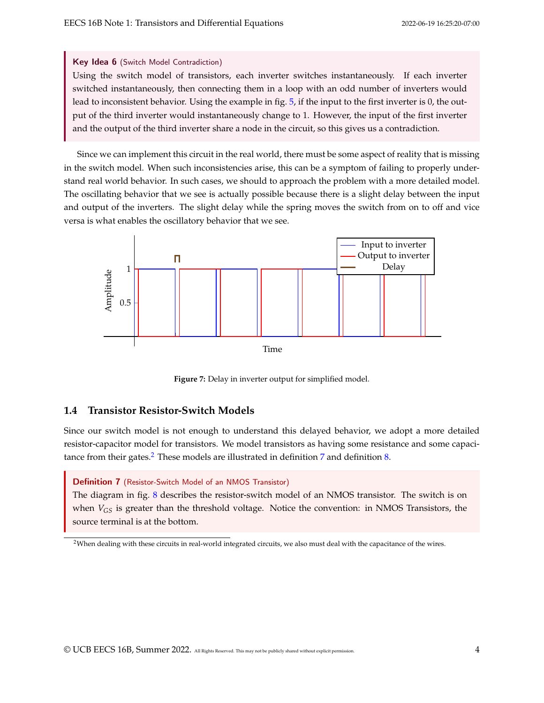#### Key Idea 6 (Switch Model Contradiction)

Using the switch model of transistors, each inverter switches instantaneously. If each inverter switched instantaneously, then connecting them in a loop with an odd number of inverters would lead to inconsistent behavior. Using the example in fig. [5,](#page-2-3) if the input to the first inverter is 0, the output of the third inverter would instantaneously change to 1. However, the input of the first inverter and the output of the third inverter share a node in the circuit, so this gives us a contradiction.

Since we can implement this circuit in the real world, there must be some aspect of reality that is missing in the switch model. When such inconsistencies arise, this can be a symptom of failing to properly understand real world behavior. In such cases, we should to approach the problem with a more detailed model. The oscillating behavior that we see is actually possible because there is a slight delay between the input and output of the inverters. The slight delay while the spring moves the switch from on to off and vice versa is what enables the oscillatory behavior that we see.



**Figure 7:** Delay in inverter output for simplified model.

# **1.4 Transistor Resistor-Switch Models**

Since our switch model is not enough to understand this delayed behavior, we adopt a more detailed resistor-capacitor model for transistors. We model transistors as having some resistance and some capaci-tance from their gates.<sup>[2](#page-3-0)</sup> These models are illustrated in definition  $7$  and definition  $8$ .

## <span id="page-3-1"></span>Definition 7 (Resistor-Switch Model of an NMOS Transistor)

The diagram in fig. [8](#page-4-1) describes the resistor-switch model of an NMOS transistor. The switch is on when  $V_{GS}$  is greater than the threshold voltage. Notice the convention: in NMOS Transistors, the source terminal is at the bottom.

<span id="page-3-0"></span><sup>&</sup>lt;sup>2</sup>When dealing with these circuits in real-world integrated circuits, we also must deal with the capacitance of the wires.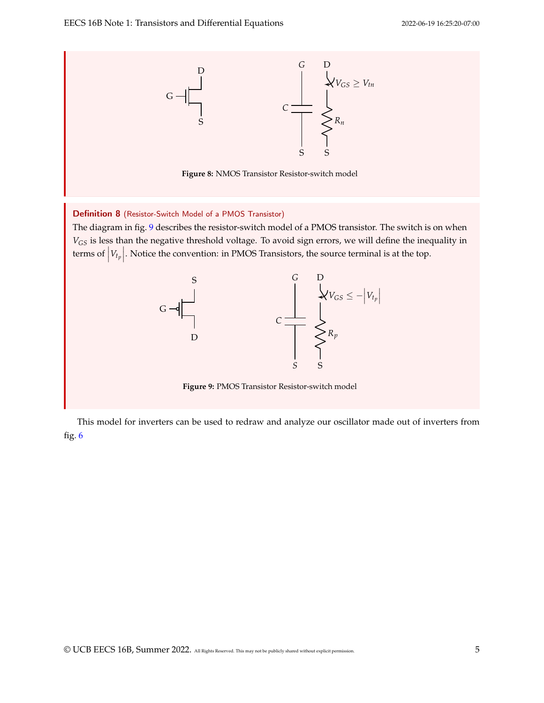<span id="page-4-1"></span><span id="page-4-0"></span>

<span id="page-4-2"></span>This model for inverters can be used to redraw and analyze our oscillator made out of inverters from fig.  $6$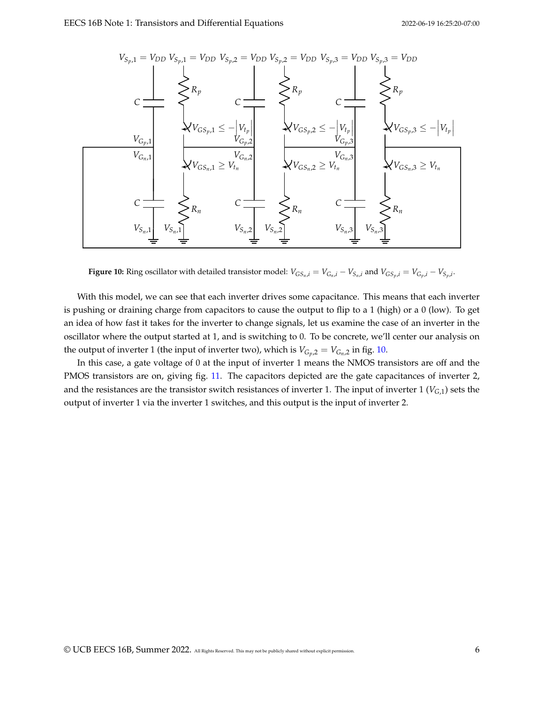<span id="page-5-0"></span>

**Figure 10:** Ring oscillator with detailed transistor model:  $V_{GS_n,i} = V_{G_n,i} - V_{S_n,i}$  and  $V_{GS_p,i} = V_{G_p,i} - V_{S_p,i}$ .

With this model, we can see that each inverter drives some capacitance. This means that each inverter is pushing or draining charge from capacitors to cause the output to flip to a 1 (high) or a 0 (low). To get an idea of how fast it takes for the inverter to change signals, let us examine the case of an inverter in the oscillator where the output started at 1, and is switching to 0. To be concrete, we'll center our analysis on the output of inverter 1 (the input of inverter two), which is  $V_{G_p,2} = V_{G_n,2}$  in fig. [10.](#page-5-0)

In this case, a gate voltage of 0 at the input of inverter 1 means the NMOS transistors are off and the PMOS transistors are on, giving fig. [11.](#page-6-0) The capacitors depicted are the gate capacitances of inverter 2, and the resistances are the transistor switch resistances of inverter 1. The input of inverter 1 (*VG*,1) sets the output of inverter 1 via the inverter 1 switches, and this output is the input of inverter 2.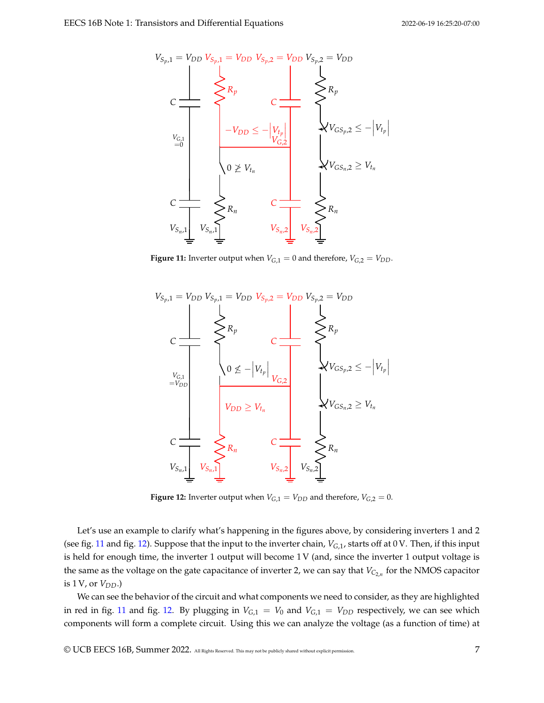<span id="page-6-0"></span>

**Figure 11:** Inverter output when  $V_{G,1} = 0$  and therefore,  $V_{G,2} = V_{DD}$ .

<span id="page-6-1"></span>

**Figure 12:** Inverter output when  $V_{G,1} = V_{DD}$  and therefore,  $V_{G,2} = 0$ .

Let's use an example to clarify what's happening in the figures above, by considering inverters 1 and 2 (see fig. [11](#page-6-0) and fig. [12\)](#page-6-1). Suppose that the input to the inverter chain, *VG*,1, starts off at 0 V. Then, if this input is held for enough time, the inverter 1 output will become 1 V (and, since the inverter 1 output voltage is the same as the voltage on the gate capacitance of inverter 2, we can say that  $V_{C_{2,n}}$  for the NMOS capacitor is 1*V*, or *V<sub>DD</sub>*.)

We can see the behavior of the circuit and what components we need to consider, as they are highlighted in red in fig. [11](#page-6-0) and fig. [12.](#page-6-1) By plugging in  $V_{G,1} = V_0$  and  $V_{G,1} = V_{DD}$  respectively, we can see which components will form a complete circuit. Using this we can analyze the voltage (as a function of time) at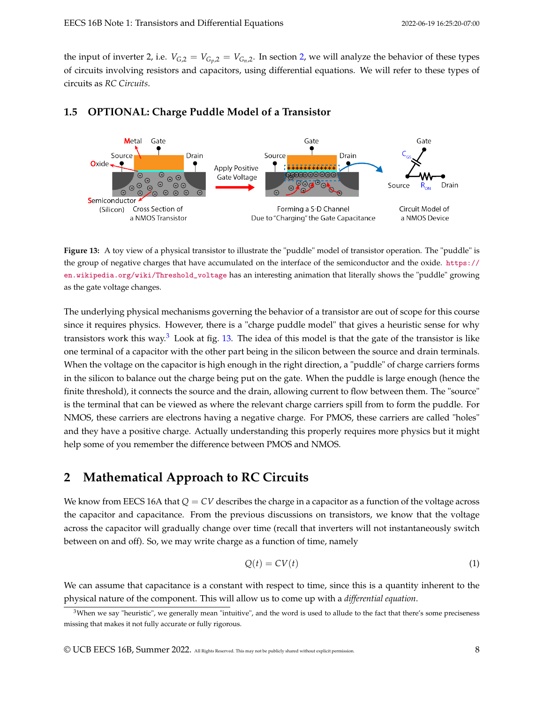the input of inverter [2,](#page-7-0) i.e.  $V_{G,2} = V_{G_p,2} = V_{G_n,2}$ . In section 2, we will analyze the behavior of these types of circuits involving resistors and capacitors, using differential equations. We will refer to these types of circuits as *RC Circuits*.

<span id="page-7-2"></span>

# **1.5 OPTIONAL: Charge Puddle Model of a Transistor**

**Figure 13:** A toy view of a physical transistor to illustrate the "puddle" model of transistor operation. The "puddle" is the group of negative charges that have accumulated on the interface of the semiconductor and the oxide. [https://](https://en.wikipedia.org/wiki/Threshold_voltage) [en.wikipedia.org/wiki/Threshold\\_voltage](https://en.wikipedia.org/wiki/Threshold_voltage) has an interesting animation that literally shows the "puddle" growing as the gate voltage changes.

The underlying physical mechanisms governing the behavior of a transistor are out of scope for this course since it requires physics. However, there is a "charge puddle model" that gives a heuristic sense for why transistors work this way.[3](#page-7-1) Look at fig. [13.](#page-7-2) The idea of this model is that the gate of the transistor is like one terminal of a capacitor with the other part being in the silicon between the source and drain terminals. When the voltage on the capacitor is high enough in the right direction, a "puddle" of charge carriers forms in the silicon to balance out the charge being put on the gate. When the puddle is large enough (hence the finite threshold), it connects the source and the drain, allowing current to flow between them. The "source" is the terminal that can be viewed as where the relevant charge carriers spill from to form the puddle. For NMOS, these carriers are electrons having a negative charge. For PMOS, these carriers are called "holes" and they have a positive charge. Actually understanding this properly requires more physics but it might help some of you remember the difference between PMOS and NMOS.

# <span id="page-7-0"></span>**2 Mathematical Approach to RC Circuits**

We know from EECS 16A that  $Q = CV$  describes the charge in a capacitor as a function of the voltage across the capacitor and capacitance. From the previous discussions on transistors, we know that the voltage across the capacitor will gradually change over time (recall that inverters will not instantaneously switch between on and off). So, we may write charge as a function of time, namely

<span id="page-7-3"></span>
$$
Q(t) = CV(t) \tag{1}
$$

We can assume that capacitance is a constant with respect to time, since this is a quantity inherent to the physical nature of the component. This will allow us to come up with a *differential equation*.

<span id="page-7-1"></span> $3$ When we say "heuristic", we generally mean "intuitive", and the word is used to allude to the fact that there's some preciseness missing that makes it not fully accurate or fully rigorous.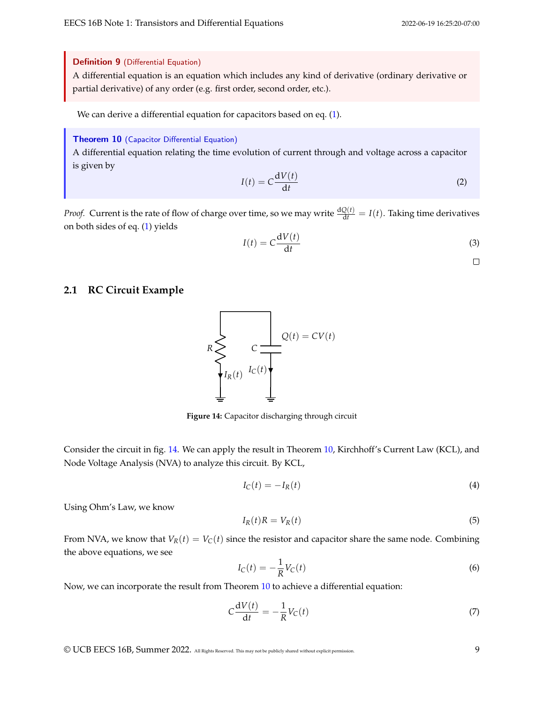#### Definition 9 (Differential Equation)

A differential equation is an equation which includes any kind of derivative (ordinary derivative or partial derivative) of any order (e.g. first order, second order, etc.).

We can derive a differential equation for capacitors based on eq. [\(1\)](#page-7-3).

### <span id="page-8-1"></span>Theorem 10 (Capacitor Differential Equation)

A differential equation relating the time evolution of current through and voltage across a capacitor is given by

$$
I(t) = C \frac{\mathrm{d}V(t)}{\mathrm{d}t} \tag{2}
$$

*Proof.* Current is the rate of flow of charge over time, so we may write  $\frac{dQ(t)}{dt} = I(t)$ . Taking time derivatives on both sides of eq. [\(1\)](#page-7-3) yields

$$
I(t) = C \frac{dV(t)}{dt}
$$
 (3)

 $\Box$ 

# <span id="page-8-0"></span>**2.1 RC Circuit Example**



**Figure 14:** Capacitor discharging through circuit

Consider the circuit in fig. [14.](#page-8-0) We can apply the result in Theorem [10,](#page-8-1) Kirchhoff's Current Law (KCL), and Node Voltage Analysis (NVA) to analyze this circuit. By KCL,

$$
I_{\mathcal{C}}(t) = -I_{R}(t) \tag{4}
$$

Using Ohm's Law, we know

$$
I_R(t)R = V_R(t) \tag{5}
$$

From NVA, we know that  $V_R(t) = V_C(t)$  since the resistor and capacitor share the same node. Combining the above equations, we see

$$
I_C(t) = -\frac{1}{R}V_C(t)
$$
\n<sup>(6)</sup>

Now, we can incorporate the result from Theorem [10](#page-8-1) to achieve a differential equation:

$$
C\frac{\mathrm{d}V(t)}{\mathrm{d}t} = -\frac{1}{R}V_C(t) \tag{7}
$$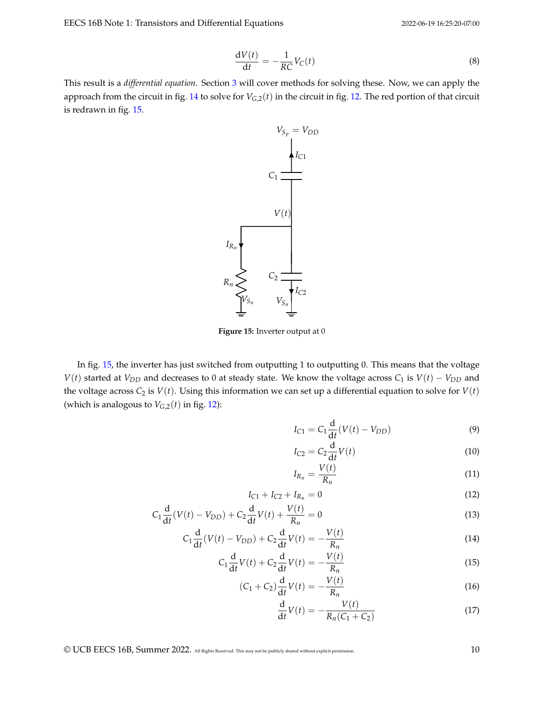EECS 16B Note 1: Transistors and Differential Equations 2022-06-19 16:25:20-07:00

$$
\frac{\mathrm{d}V(t)}{\mathrm{d}t} = -\frac{1}{RC}V_C(t) \tag{8}
$$

<span id="page-9-0"></span>This result is a *differential equation*. Section [3](#page-10-0) will cover methods for solving these. Now, we can apply the approach from the circuit in fig. [14](#page-8-0) to solve for  $V_{G,2}(t)$  in the circuit in fig. [12.](#page-6-1) The red portion of that circuit is redrawn in fig. [15.](#page-9-0)



**Figure 15:** Inverter output at 0

In fig. [15,](#page-9-0) the inverter has just switched from outputting 1 to outputting 0. This means that the voltage *V*(*t*) started at *V*<sub>*DD*</sub> and decreases to 0 at steady state. We know the voltage across  $C_1$  is *V*(*t*) − *V*<sub>*DD*</sub> and the voltage across  $C_2$  is  $V(t)$ . Using this information we can set up a differential equation to solve for  $V(t)$ (which is analogous to  $V_{G,2}(t)$  in fig. [12\)](#page-6-1):

$$
I_{C1} = C_1 \frac{d}{dt} (V(t) - V_{DD})
$$
 (9)

$$
I_{C2} = C_2 \frac{\mathrm{d}}{\mathrm{d}t} V(t) \tag{10}
$$

$$
I_{R_n} = \frac{V(t)}{R_n} \tag{11}
$$

$$
I_{C1} + I_{C2} + I_{R_n} = 0 \tag{12}
$$

$$
C_1 \frac{d}{dt}(V(t) - V_{DD}) + C_2 \frac{d}{dt}V(t) + \frac{V(t)}{R_n} = 0
$$
\n(13)

$$
C_1 \frac{d}{dt} (V(t) - V_{DD}) + C_2 \frac{d}{dt} V(t) = -\frac{V(t)}{R_n}
$$
 (14)

$$
C_1 \frac{\mathrm{d}}{\mathrm{d}t} V(t) + C_2 \frac{\mathrm{d}}{\mathrm{d}t} V(t) = -\frac{V(t)}{R_n}
$$
\n(15)

$$
(C_1 + C_2) \frac{d}{dt} V(t) = -\frac{V(t)}{R_n}
$$
 (16)

$$
\frac{d}{dt}V(t) = -\frac{V(t)}{R_n(C_1 + C_2)}
$$
\n(17)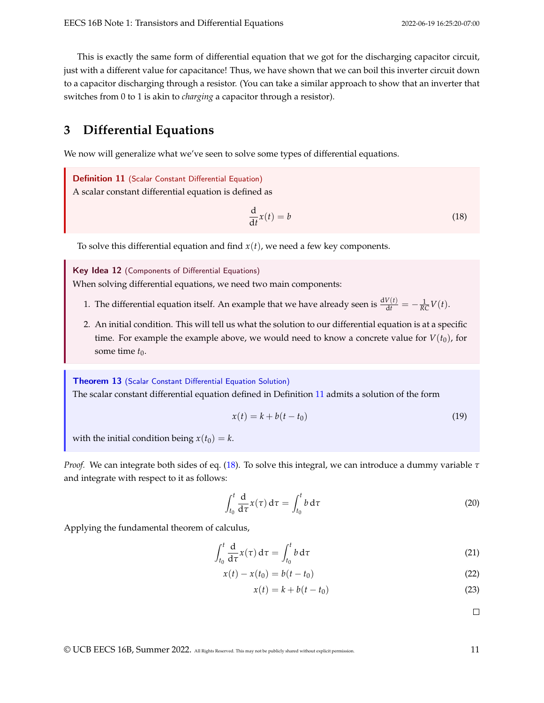This is exactly the same form of differential equation that we got for the discharging capacitor circuit, just with a different value for capacitance! Thus, we have shown that we can boil this inverter circuit down to a capacitor discharging through a resistor. (You can take a similar approach to show that an inverter that switches from 0 to 1 is akin to *charging* a capacitor through a resistor).

# <span id="page-10-0"></span>**3 Differential Equations**

We now will generalize what we've seen to solve some types of differential equations.

<span id="page-10-1"></span>Definition 11 (Scalar Constant Differential Equation) A scalar constant differential equation is defined as

<span id="page-10-2"></span>
$$
\frac{\mathrm{d}}{\mathrm{d}t}x(t) = b\tag{18}
$$

To solve this differential equation and find  $x(t)$ , we need a few key components.

Key Idea 12 (Components of Differential Equations)

When solving differential equations, we need two main components:

- 1. The differential equation itself. An example that we have already seen is  $\frac{dV(t)}{dt} = -\frac{1}{RC}V(t)$ .
- 2. An initial condition. This will tell us what the solution to our differential equation is at a specific time. For example the example above, we would need to know a concrete value for  $V(t_0)$ , for some time  $t_0$ .

Theorem 13 (Scalar Constant Differential Equation Solution) The scalar constant differential equation defined in Definition [11](#page-10-1) admits a solution of the form

$$
x(t) = k + b(t - t_0) \tag{19}
$$

with the initial condition being  $x(t_0) = k$ .

*Proof.* We can integrate both sides of eq. [\(18\)](#page-10-2). To solve this integral, we can introduce a dummy variable *τ* and integrate with respect to it as follows:

$$
\int_{t_0}^t \frac{d}{d\tau} x(\tau) d\tau = \int_{t_0}^t b d\tau
$$
\n(20)

Applying the fundamental theorem of calculus,

$$
\int_{t_0}^t \frac{d}{d\tau} \chi(\tau) d\tau = \int_{t_0}^t b d\tau \tag{21}
$$

$$
x(t) - x(t_0) = b(t - t_0)
$$
\n(22)

$$
x(t) = k + b(t - t_0)
$$
\n
$$
(23)
$$

 $\Box$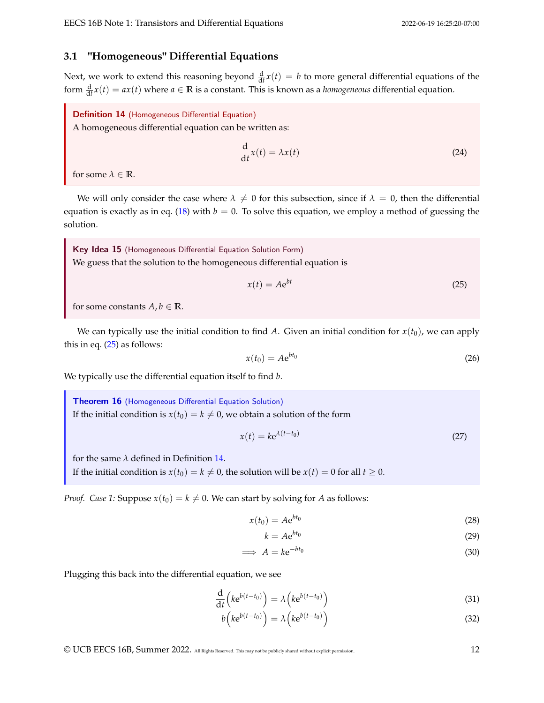### **3.1 "Homogeneous" Differential Equations**

Next, we work to extend this reasoning beyond  $\frac{d}{dt}x(t) = b$  to more general differential equations of the form  $\frac{d}{dt}x(t) = ax(t)$  where  $a \in \mathbb{R}$  is a constant. This is known as a *homogeneous* differential equation.

<span id="page-11-1"></span>Definition 14 (Homogeneous Differential Equation)

A homogeneous differential equation can be written as:

$$
\frac{\mathrm{d}}{\mathrm{d}t}x(t) = \lambda x(t) \tag{24}
$$

for some  $\lambda \in \mathbb{R}$ .

We will only consider the case where  $\lambda \neq 0$  for this subsection, since if  $\lambda = 0$ , then the differential equation is exactly as in eq. [\(18\)](#page-10-2) with  $b = 0$ . To solve this equation, we employ a method of guessing the solution.

Key Idea 15 (Homogeneous Differential Equation Solution Form) We guess that the solution to the homogeneous differential equation is

<span id="page-11-0"></span>
$$
x(t) = Ae^{bt} \tag{25}
$$

for some constants  $A, b \in \mathbb{R}$ .

We can typically use the initial condition to find *A*. Given an initial condition for  $x(t_0)$ , we can apply this in eq.  $(25)$  as follows:

$$
x(t_0) = A e^{bt_0} \tag{26}
$$

We typically use the differential equation itself to find *b*.

Theorem 16 (Homogeneous Differential Equation Solution) If the initial condition is  $x(t_0) = k \neq 0$ , we obtain a solution of the form

$$
x(t) = k e^{\lambda(t - t_0)}\tag{27}
$$

for the same  $\lambda$  defined in Definition [14.](#page-11-1)

If the initial condition is  $x(t_0) = k \neq 0$ , the solution will be  $x(t) = 0$  for all  $t \geq 0$ .

*Proof. Case 1:* Suppose  $x(t_0) = k \neq 0$ . We can start by solving for *A* as follows:

$$
x(t_0) = A e^{bt_0} \tag{28}
$$

$$
k = Ae^{bt_0}
$$
 (29)

$$
\implies A = k e^{-bt_0} \tag{30}
$$

Plugging this back into the differential equation, we see

$$
\frac{\mathrm{d}}{\mathrm{d}t}\left(ke^{b(t-t_0)}\right) = \lambda\left(ke^{b(t-t_0)}\right) \tag{31}
$$

$$
b\left(k e^{b(t-t_0)}\right) = \lambda\left(k e^{b(t-t_0)}\right)
$$
\n(32)

<span id="page-11-2"></span>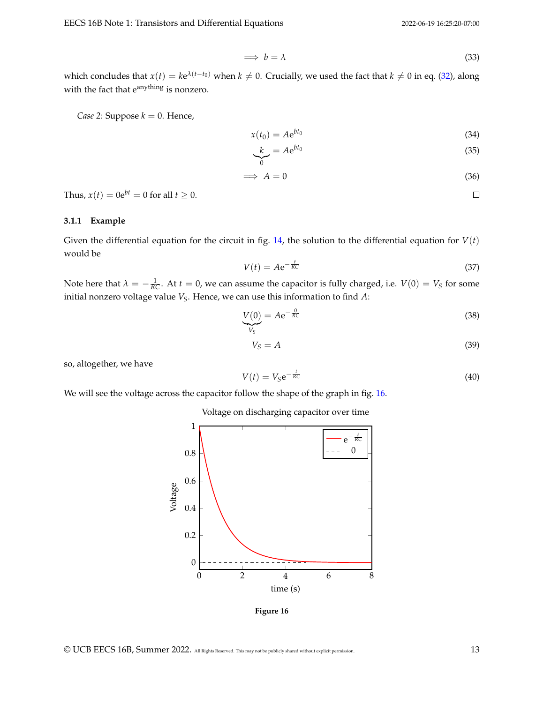$\Box$ 

$$
\implies b = \lambda \tag{33}
$$

which concludes that  $x(t) = ke^{\lambda(t-t_0)}$  when  $k \neq 0$ . Crucially, we used the fact that  $k \neq 0$  in eq. [\(32\)](#page-11-2), along with the fact that e<sup>anything</sup> is nonzero.

*Case 2:* Suppose  $k = 0$ . Hence,

$$
x(t_0) = A e^{bt_0} \tag{34}
$$

$$
\underbrace{k}_{0} = A e^{bt_0} \tag{35}
$$

$$
\implies A = 0 \tag{36}
$$

Thus,  $x(t) = 0e^{bt} = 0$  for all  $t \ge 0$ .

### **3.1.1 Example**

Given the differential equation for the circuit in fig. [14,](#page-8-0) the solution to the differential equation for  $V(t)$ would be

$$
V(t) = A e^{-\frac{t}{RC}}
$$
 (37)

Note here that  $\lambda = -\frac{1}{RC}$ . At  $t = 0$ , we can assume the capacitor is fully charged, i.e.  $V(0) = V_S$  for some initial nonzero voltage value *VS*. Hence, we can use this information to find *A*:

$$
\underbrace{V(0)}_{V_S} = A e^{-\frac{0}{RC}} \tag{38}
$$

$$
V_S = A \tag{39}
$$

so, altogether, we have

$$
V(t) = V_{\mathcal{S}} \mathbf{e}^{-\frac{t}{RC}} \tag{40}
$$

<span id="page-12-0"></span>We will see the voltage across the capacitor follow the shape of the graph in fig. [16.](#page-12-0)

Voltage on discharging capacitor over time



**Figure 16**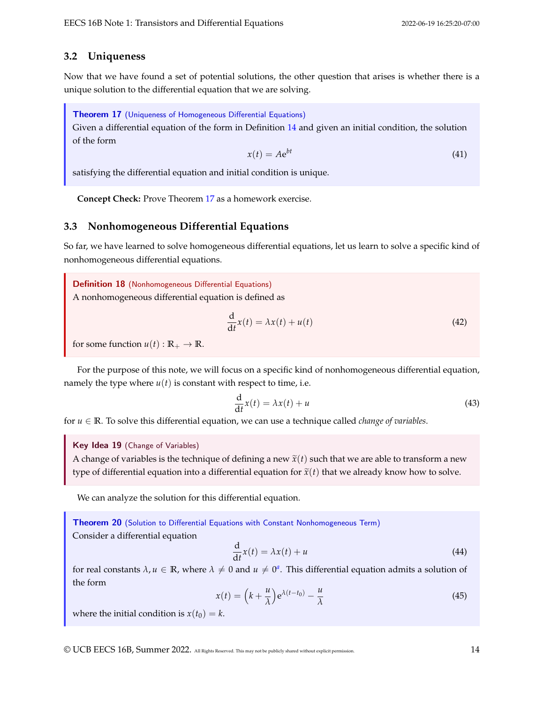# **3.2 Uniqueness**

Now that we have found a set of potential solutions, the other question that arises is whether there is a unique solution to the differential equation that we are solving.

<span id="page-13-0"></span>Theorem 17 (Uniqueness of Homogeneous Differential Equations)

Given a differential equation of the form in Definition [14](#page-11-1) and given an initial condition, the solution of the form

$$
x(t) = Ae^{bt} \tag{41}
$$

satisfying the differential equation and initial condition is unique.

**Concept Check:** Prove Theorem [17](#page-13-0) as a homework exercise.

# **3.3 Nonhomogeneous Differential Equations**

So far, we have learned to solve homogeneous differential equations, let us learn to solve a specific kind of nonhomogeneous differential equations.

Definition 18 (Nonhomogeneous Differential Equations) A nonhomogeneous differential equation is defined as

$$
\frac{\mathrm{d}}{\mathrm{d}t}x(t) = \lambda x(t) + u(t) \tag{42}
$$

for some function  $u(t): \mathbb{R}_+ \to \mathbb{R}$ .

For the purpose of this note, we will focus on a specific kind of nonhomogeneous differential equation, namely the type where  $u(t)$  is constant with respect to time, i.e.

$$
\frac{\mathrm{d}}{\mathrm{d}t}x(t) = \lambda x(t) + u\tag{43}
$$

for  $u \in \mathbb{R}$ . To solve this differential equation, we can use a technique called *change of variables*.

Key Idea 19 (Change of Variables)

A change of variables is the technique of defining a new  $\tilde{x}(t)$  such that we are able to transform a new type of differential equation into a differential equation for  $\tilde{x}(t)$  that we already know how to solve.

We can analyze the solution for this differential equation.

<span id="page-13-1"></span>Theorem 20 (Solution to Differential Equations with Constant Nonhomogeneous Term)

Consider a differential equation

$$
\frac{\mathrm{d}}{\mathrm{d}t}x(t) = \lambda x(t) + u\tag{44}
$$

for re[a](#page-14-0)l constants  $\lambda, u \in \mathbb{R}$ , where  $\lambda \neq 0$  and  $u \neq 0^a$ . This differential equation admits a solution of the form

$$
x(t) = \left(k + \frac{u}{\lambda}\right) e^{\lambda(t - t_0)} - \frac{u}{\lambda}
$$
\n(45)

where the initial condition is  $x(t_0) = k$ .

© UCB EECS 16B, Summer 2022. All Rights Reserved. This may not be publicly shared without explicit permission. 14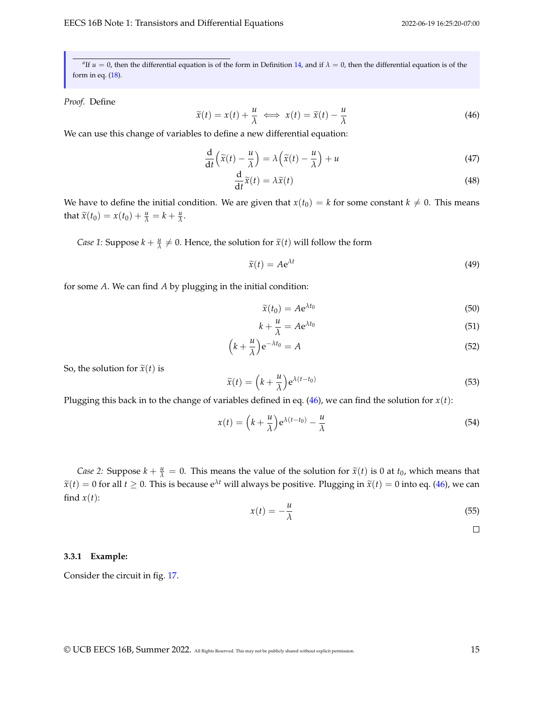<span id="page-14-0"></span> $a$ <sup>*a*</sup> If *u* = 0, then the differential equation is of the form in Definition [14,](#page-11-1) and if  $\lambda$  = 0, then the differential equation is of the form in eq. [\(18\)](#page-10-2).

### *Proof.* Define

<span id="page-14-1"></span>
$$
\widetilde{x}(t) = x(t) + \frac{u}{\lambda} \iff x(t) = \widetilde{x}(t) - \frac{u}{\lambda} \tag{46}
$$

We can use this change of variables to define a new differential equation:

$$
\frac{d}{dt}\left(\tilde{x}(t) - \frac{u}{\lambda}\right) = \lambda\left(\tilde{x}(t) - \frac{u}{\lambda}\right) + u\tag{47}
$$

$$
\frac{\mathrm{d}}{\mathrm{d}t}\widetilde{x}(t) = \lambda \widetilde{x}(t) \tag{48}
$$

We have to define the initial condition. We are given that  $x(t_0) = k$  for some constant  $k \neq 0$ . This means that  $\widetilde{x}(t_0) = x(t_0) + \frac{u}{\lambda} = k + \frac{u}{\lambda}$ .

*Case 1:* Suppose  $k + \frac{u}{\lambda} \neq 0$ . Hence, the solution for  $\tilde{x}(t)$  will follow the form

$$
\widetilde{x}(t) = A e^{\lambda t} \tag{49}
$$

for some *A*. We can find *A* by plugging in the initial condition:

$$
\widetilde{x}(t_0) = A e^{\lambda t_0} \tag{50}
$$

$$
k + \frac{u}{\lambda} = A e^{\lambda t_0} \tag{51}
$$

$$
\left(k + \frac{u}{\lambda}\right) e^{-\lambda t_0} = A \tag{52}
$$

So, the solution for  $\tilde{x}(t)$  is

$$
\widetilde{x}(t) = \left(k + \frac{u}{\lambda}\right) e^{\lambda(t - t_0)}\tag{53}
$$

Plugging this back in to the change of variables defined in eq.  $(46)$ , we can find the solution for  $x(t)$ :

$$
x(t) = \left(k + \frac{u}{\lambda}\right) e^{\lambda(t - t_0)} - \frac{u}{\lambda}
$$
\n(54)

*Case 2:* Suppose  $k + \frac{u}{\lambda} = 0$ . This means the value of the solution for  $\tilde{x}(t)$  is 0 at  $t_0$ , which means that  $\tilde{x}(t) = 0$  for all  $t \ge 0$ . This is because  $e^{\lambda t}$  will always be positive. Plugging in  $\tilde{x}(t) = 0$  into eq. [\(46\)](#page-14-1), we can find  $x(t)$ :

$$
x(t) = -\frac{u}{\lambda} \tag{55}
$$

 $\Box$ 

### **3.3.1 Example:**

Consider the circuit in fig. [17.](#page-15-0)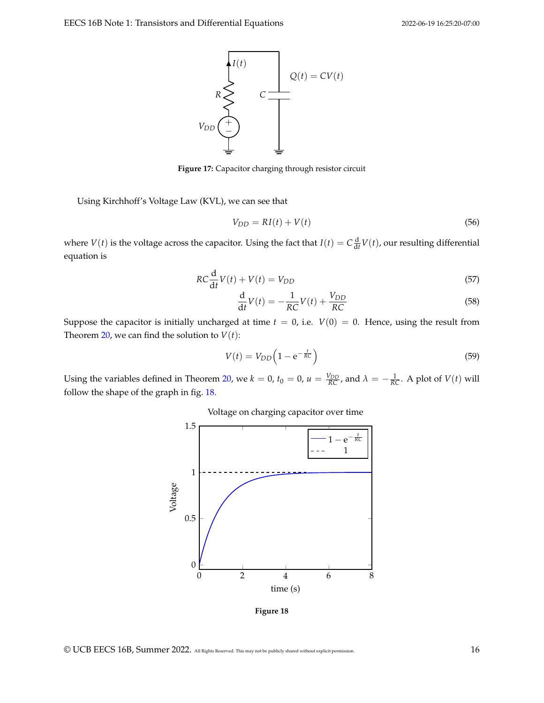<span id="page-15-0"></span>

**Figure 17:** Capacitor charging through resistor circuit

Using Kirchhoff's Voltage Law (KVL), we can see that

$$
V_{DD} = RI(t) + V(t) \tag{56}
$$

where  $V(t)$  is the voltage across the capacitor. Using the fact that  $I(t) = C \frac{d}{dt} V(t)$ , our resulting differential equation is

$$
RC\frac{\mathrm{d}}{\mathrm{d}t}V(t) + V(t) = V_{DD} \tag{57}
$$

$$
\frac{\mathrm{d}}{\mathrm{d}t}V(t) = -\frac{1}{RC}V(t) + \frac{V_{DD}}{RC}
$$
\n(58)

Suppose the capacitor is initially uncharged at time  $t = 0$ , i.e.  $V(0) = 0$ . Hence, using the result from Theorem [20,](#page-13-1) we can find the solution to  $V(t)$ :

$$
V(t) = V_{DD} \left( 1 - e^{-\frac{t}{RC}} \right) \tag{59}
$$

<span id="page-15-1"></span>Using the variables defined in Theorem [20,](#page-13-1) we  $k = 0$ ,  $t_0 = 0$ ,  $u = \frac{V_{DD}}{RC}$ , and  $\lambda = -\frac{1}{RC}$ . A plot of  $V(t)$  will follow the shape of the graph in fig. [18.](#page-15-1)

Voltage on charging capacitor over time



**Figure 18**